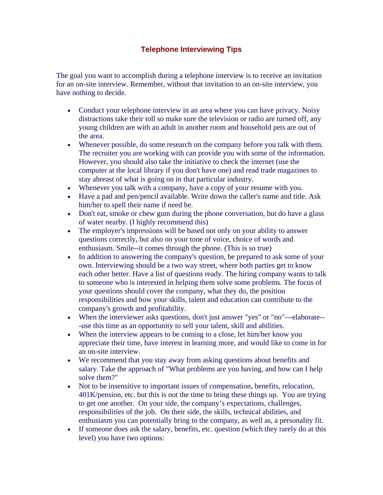## **Telephone Interviewing Tips**

The goal you want to accomplish during a telephone interview is to receive an invitation for an on-site interview. Remember, without that invitation to an on-site interview, you have nothing to decide.

- Conduct your telephone interview in an area where you can have privacy. Noisy distractions take their toll so make sure the television or radio are turned off, any young children are with an adult in another room and household pets are out of the area.
- Whenever possible, do some research on the company before you talk with them. The recruiter you are working with can provide you with some of the information. However, you should also take the initiative to check the internet (use the computer at the local library if you don't have one) and read trade magazines to stay abreast of what is going on in that particular industry.
- Whenever you talk with a company, have a copy of your resume with you.
- Have a pad and pen/pencil available. Write down the caller's name and title. Ask him/her to spell their name if need be.
- Don't eat, smoke or chew gum during the phone conversation, but do have a glass of water nearby. (I highly recommend this)
- The employer's impressions will be based not only on your ability to answer questions correctly, but also on your tone of voice, choice of words and enthusiasm. Smile--it comes through the phone. (This is so true)
- In addition to answering the company's question, be prepared to ask some of your own. Interviewing should be a two way street, where both parties get to know each other better. Have a list of questions ready. The hiring company wants to talk to someone who is interested in helping them solve some problems. The focus of your questions should cover the company, what they do, the position responsibilities and how your skills, talent and education can contribute to the company's growth and profitability.
- When the interviewer asks questions, don't just answer "yes" or "no"---elaborate-- -use this time as an opportunity to sell your talent, skill and abilities.
- When the interview appears to be coming to a close, let him/her know you appreciate their time, have interest in learning more, and would like to come in for an on-site interview.
- We recommend that you stay away from asking questions about benefits and salary. Take the approach of "What problems are you having, and how can I help solve them?"
- Not to be insensitive to important issues of compensation, benefits, relocation, 401K/pension, etc. but this is not the time to bring these things up. You are trying to get one another. On your side, the company's expectations, challenges, responsibilities of the job. On their side, the skills, technical abilities, and enthusiasm you can potentially bring to the company, as well as, a personality fit.
- If someone does ask the salary, benefits, etc. question (which they rarely do at this level) you have two options: